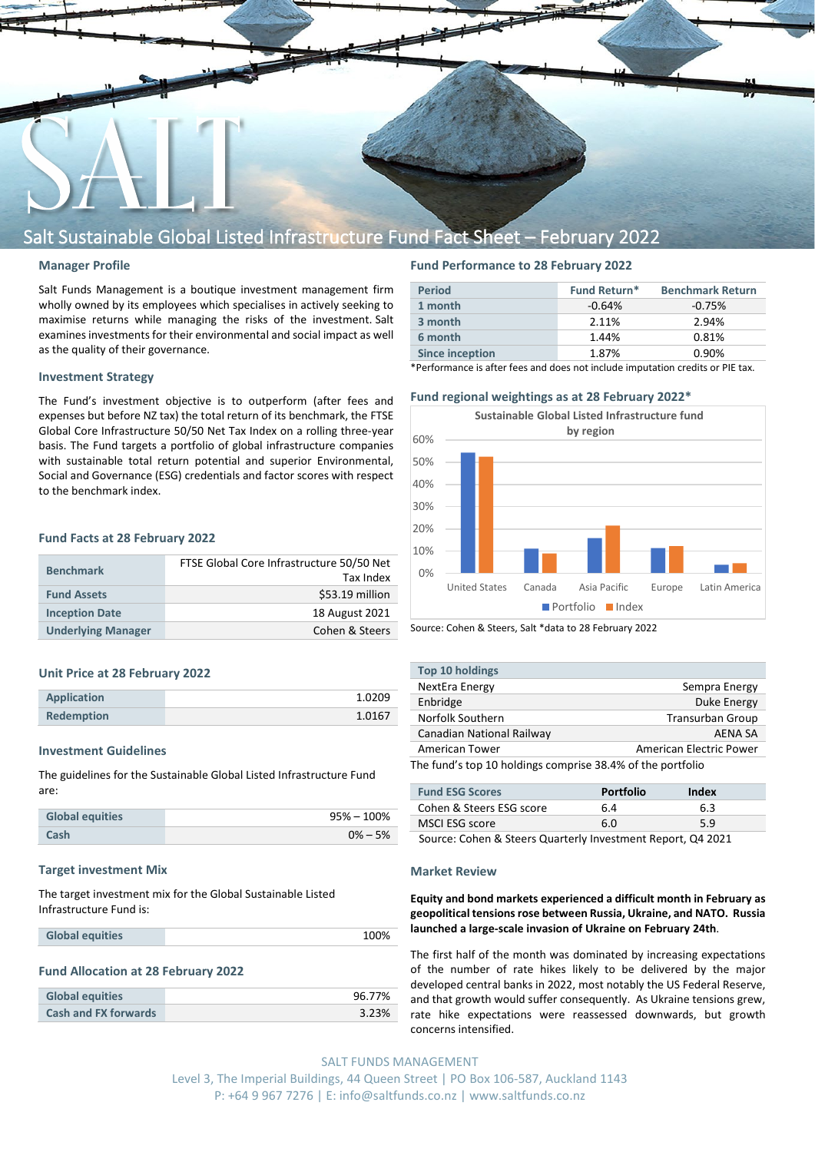

## Salt Sustainable Global Listed Infrastructure Fund Fact Sheet – February 2022

#### **Manager Profile**

Salt Funds Management is a boutique investment management firm wholly owned by its employees which specialises in actively seeking to maximise returns while managing the risks of the investment. Salt examines investments for their environmental and social impact as well as the quality of their governance.

#### **Investment Strategy**

The Fund's investment objective is to outperform (after fees and expenses but before NZ tax) the total return of its benchmark, the FTSE Global Core Infrastructure 50/50 Net Tax Index on a rolling three-year basis. The Fund targets a portfolio of global infrastructure companies with sustainable total return potential and superior Environmental, Social and Governance (ESG) credentials and factor scores with respect to the benchmark index.

#### **Fund Facts at 28 February 2022**

| <b>Benchmark</b>          | FTSE Global Core Infrastructure 50/50 Net<br>Tax Index |
|---------------------------|--------------------------------------------------------|
| <b>Fund Assets</b>        | \$53.19 million                                        |
| <b>Inception Date</b>     | 18 August 2021                                         |
| <b>Underlying Manager</b> | Cohen & Steers                                         |

#### **Unit Price at 28 February 2022**

| Application       | 1.0209 |
|-------------------|--------|
| <b>Redemption</b> | 1.0167 |

#### **Investment Guidelines**

The guidelines for the Sustainable Global Listed Infrastructure Fund are:

| <b>Global equities</b> | $95\% - 100\%$ |
|------------------------|----------------|
| Cash                   | $0\% - 5\%$    |

#### **Target investment Mix**

The target investment mix for the Global Sustainable Listed Infrastructure Fund is:

| <b>Global equities</b> | 100% |
|------------------------|------|
|------------------------|------|

#### **Fund Allocation at 28 February 2022**

| <b>Global equities</b>      | 96.77% |
|-----------------------------|--------|
| <b>Cash and FX forwards</b> | 3.23%  |

### **Fund Performance to 28 February 2022**

| <b>Period</b>          | <b>Fund Return*</b> | <b>Benchmark Return</b> |
|------------------------|---------------------|-------------------------|
| 1 month                | $-0.64%$            | $-0.75%$                |
| 3 month                | 2.11%               | 2.94%                   |
| 6 month                | 1.44%               | 0.81%                   |
| <b>Since inception</b> | 1.87%               | 0.90%                   |

\*Performance is after fees and does not include imputation credits or PIE tax.

#### **Fund regional weightings as at 28 February 2022\***



Source: Cohen & Steers, Salt \*data to 28 February 2022

| <b>Top 10 holdings</b>                                     |                         |  |
|------------------------------------------------------------|-------------------------|--|
| NextEra Energy                                             | Sempra Energy           |  |
| Enbridge                                                   | Duke Energy             |  |
| Norfolk Southern                                           | <b>Transurban Group</b> |  |
| Canadian National Railway                                  | AFNA SA                 |  |
| American Tower                                             | American Electric Power |  |
| The fund's top 10 holdings comprise 38.4% of the portfolio |                         |  |

| <b>Fund ESG Scores</b>   | Portfolio | Index |  |
|--------------------------|-----------|-------|--|
| Cohen & Steers ESG score | 6.4       | 6.3   |  |
| MSCI ESG score           | 6 N       | 5.9   |  |

Source: Cohen & Steers Quarterly Investment Report, Q4 2021

#### **Market Review**

**Equity and bond markets experienced a difficult month in February as geopolitical tensions rose between Russia, Ukraine, and NATO. Russia launched a large-scale invasion of Ukraine on February 24th**.

The first half of the month was dominated by increasing expectations of the number of rate hikes likely to be delivered by the major developed central banks in 2022, most notably the US Federal Reserve, and that growth would suffer consequently. As Ukraine tensions grew, rate hike expectations were reassessed downwards, but growth concerns intensified.

SALT FUNDS MANAGEMENT Level 3, The Imperial Buildings, 44 Queen Street | PO Box 106-587, Auckland 1143 P: +64 9 967 7276 | E: info@saltfunds.co.nz | www.saltfunds.co.nz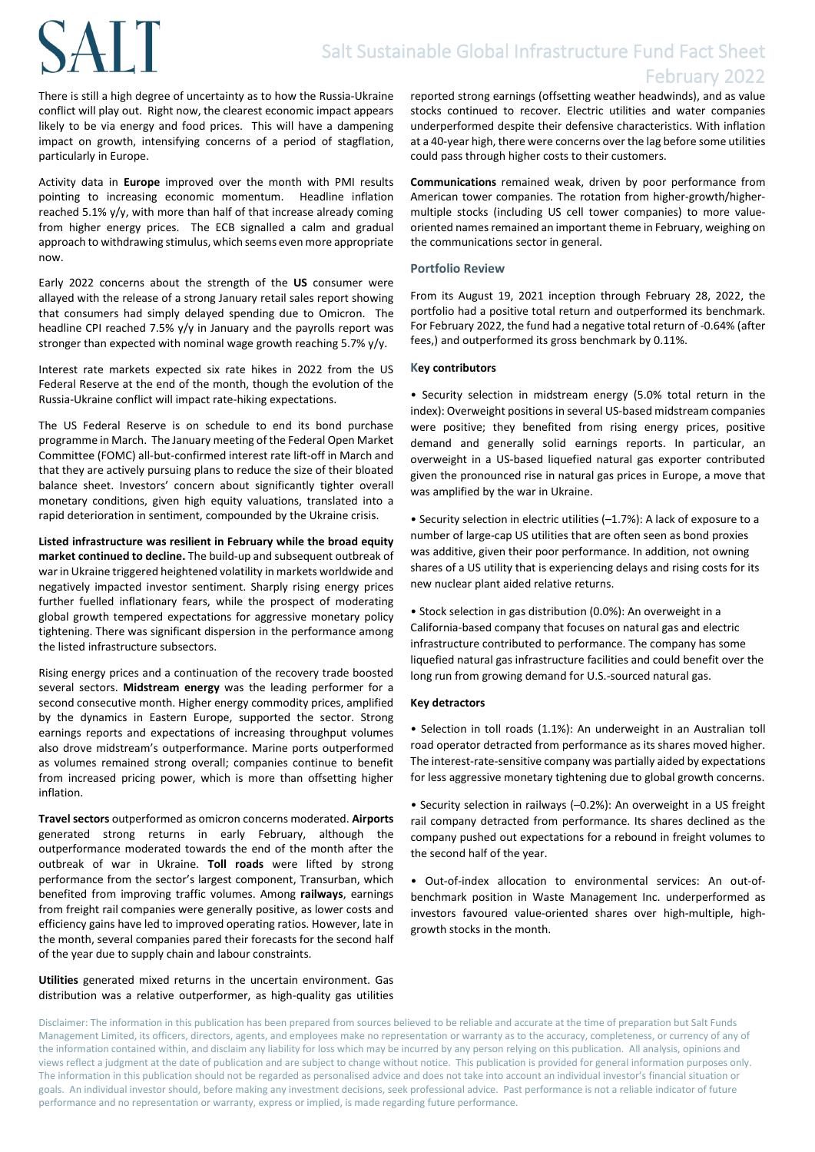# **SALT**

There is still a high degree of uncertainty as to how the Russia-Ukraine conflict will play out. Right now, the clearest economic impact appears likely to be via energy and food prices. This will have a dampening impact on growth, intensifying concerns of a period of stagflation, particularly in Europe.

Activity data in **Europe** improved over the month with PMI results pointing to increasing economic momentum. Headline inflation reached 5.1% y/y, with more than half of that increase already coming from higher energy prices. The ECB signalled a calm and gradual approach to withdrawing stimulus, which seems even more appropriate now.

Early 2022 concerns about the strength of the **US** consumer were allayed with the release of a strong January retail sales report showing that consumers had simply delayed spending due to Omicron. The headline CPI reached 7.5% y/y in January and the payrolls report was stronger than expected with nominal wage growth reaching 5.7% y/y.

Interest rate markets expected six rate hikes in 2022 from the US Federal Reserve at the end of the month, though the evolution of the Russia-Ukraine conflict will impact rate-hiking expectations.

The US Federal Reserve is on schedule to end its bond purchase programme in March. The January meeting of the Federal Open Market Committee (FOMC) all-but-confirmed interest rate lift-off in March and that they are actively pursuing plans to reduce the size of their bloated balance sheet. Investors' concern about significantly tighter overall monetary conditions, given high equity valuations, translated into a rapid deterioration in sentiment, compounded by the Ukraine crisis.

**Listed infrastructure was resilient in February while the broad equity market continued to decline.** The build-up and subsequent outbreak of war in Ukraine triggered heightened volatility in markets worldwide and negatively impacted investor sentiment. Sharply rising energy prices further fuelled inflationary fears, while the prospect of moderating global growth tempered expectations for aggressive monetary policy tightening. There was significant dispersion in the performance among the listed infrastructure subsectors.

Rising energy prices and a continuation of the recovery trade boosted several sectors. **Midstream energy** was the leading performer for a second consecutive month. Higher energy commodity prices, amplified by the dynamics in Eastern Europe, supported the sector. Strong earnings reports and expectations of increasing throughput volumes also drove midstream's outperformance. Marine ports outperformed as volumes remained strong overall; companies continue to benefit from increased pricing power, which is more than offsetting higher inflation.

**Travel sectors** outperformed as omicron concerns moderated. **Airports**  generated strong returns in early February, although the outperformance moderated towards the end of the month after the outbreak of war in Ukraine. **Toll roads** were lifted by strong performance from the sector's largest component, Transurban, which benefited from improving traffic volumes. Among **railways**, earnings from freight rail companies were generally positive, as lower costs and efficiency gains have led to improved operating ratios. However, late in the month, several companies pared their forecasts for the second half of the year due to supply chain and labour constraints.

**Utilities** generated mixed returns in the uncertain environment. Gas distribution was a relative outperformer, as high-quality gas utilities reported strong earnings (offsetting weather headwinds), and as value stocks continued to recover. Electric utilities and water companies underperformed despite their defensive characteristics. With inflation at a 40-year high, there were concerns over the lag before some utilities could pass through higher costs to their customers.

**Communications** remained weak, driven by poor performance from American tower companies. The rotation from higher-growth/highermultiple stocks (including US cell tower companies) to more valueoriented names remained an important theme in February, weighing on the communications sector in general.

#### **Portfolio Review**

From its August 19, 2021 inception through February 28, 2022, the portfolio had a positive total return and outperformed its benchmark. For February 2022, the fund had a negative total return of -0.64% (after fees,) and outperformed its gross benchmark by 0.11%.

#### **Key contributors**

• Security selection in midstream energy (5.0% total return in the index): Overweight positions in several US-based midstream companies were positive; they benefited from rising energy prices, positive demand and generally solid earnings reports. In particular, an overweight in a US-based liquefied natural gas exporter contributed given the pronounced rise in natural gas prices in Europe, a move that was amplified by the war in Ukraine.

• Security selection in electric utilities (–1.7%): A lack of exposure to a number of large-cap US utilities that are often seen as bond proxies was additive, given their poor performance. In addition, not owning shares of a US utility that is experiencing delays and rising costs for its new nuclear plant aided relative returns.

• Stock selection in gas distribution (0.0%): An overweight in a California-based company that focuses on natural gas and electric infrastructure contributed to performance. The company has some liquefied natural gas infrastructure facilities and could benefit over the long run from growing demand for U.S.-sourced natural gas.

#### **Key detractors**

• Selection in toll roads (1.1%): An underweight in an Australian toll road operator detracted from performance as its shares moved higher. The interest-rate-sensitive company was partially aided by expectations for less aggressive monetary tightening due to global growth concerns.

• Security selection in railways (–0.2%): An overweight in a US freight rail company detracted from performance. Its shares declined as the company pushed out expectations for a rebound in freight volumes to the second half of the year.

• Out-of-index allocation to environmental services: An out-ofbenchmark position in Waste Management Inc. underperformed as investors favoured value-oriented shares over high-multiple, highgrowth stocks in the month.

Disclaimer: The information in this publication has been prepared from sources believed to be reliable and accurate at the time of preparation but Salt Funds Management Limited, its officers, directors, agents, and employees make no representation or warranty as to the accuracy, completeness, or currency of any of the information contained within, and disclaim any liability for loss which may be incurred by any person relying on this publication. All analysis, opinions and views reflect a judgment at the date of publication and are subject to change without notice. This publication is provided for general information purposes only. The information in this publication should not be regarded as personalised advice and does not take into account an individual investor's financial situation or goals. An individual investor should, before making any investment decisions, seek professional advice. Past performance is not a reliable indicator of future performance and no representation or warranty, express or implied, is made regarding future performance.